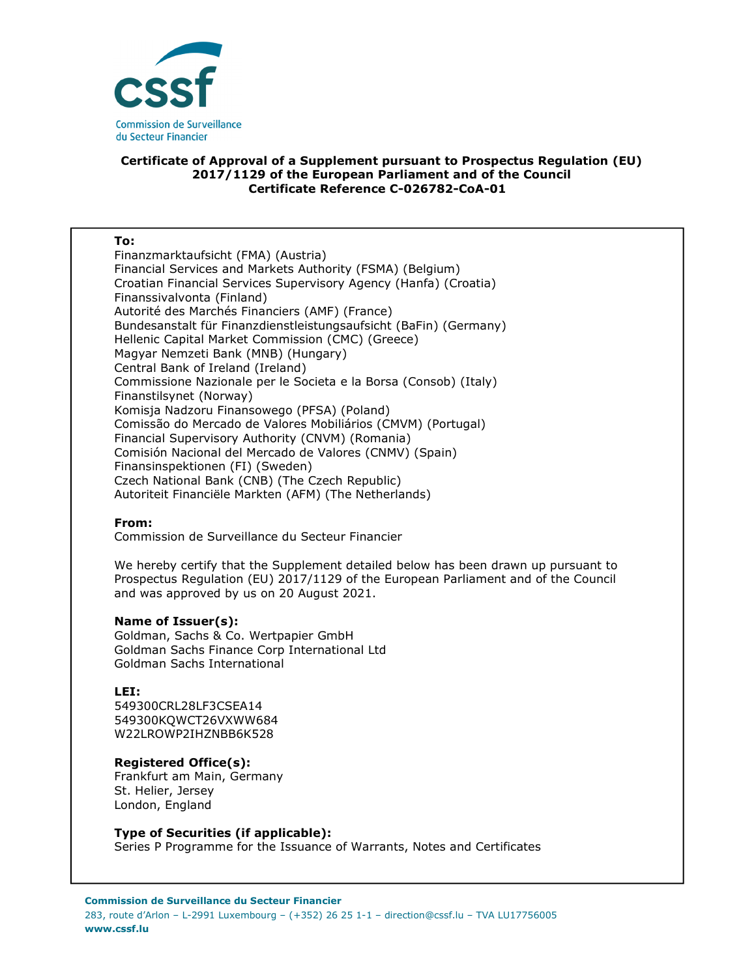

### **Certificate of Approval of a Supplement pursuant to Prospectus Regulation (EU) 2017/1129 of the European Parliament and of the Council Certificate Reference C-026782-CoA-01**

#### **To:**

Finanzmarktaufsicht (FMA) (Austria) Financial Services and Markets Authority (FSMA) (Belgium) Croatian Financial Services Supervisory Agency (Hanfa) (Croatia) Finanssivalvonta (Finland) Autorité des Marchés Financiers (AMF) (France) Bundesanstalt für Finanzdienstleistungsaufsicht (BaFin) (Germany) Hellenic Capital Market Commission (CMC) (Greece) Magyar Nemzeti Bank (MNB) (Hungary) Central Bank of Ireland (Ireland) Commissione Nazionale per le Societa e la Borsa (Consob) (Italy) Finanstilsynet (Norway) Komisja Nadzoru Finansowego (PFSA) (Poland) Comissão do Mercado de Valores Mobiliários (CMVM) (Portugal) Financial Supervisory Authority (CNVM) (Romania) Comisión Nacional del Mercado de Valores (CNMV) (Spain) Finansinspektionen (FI) (Sweden) Czech National Bank (CNB) (The Czech Republic) Autoriteit Financiële Markten (AFM) (The Netherlands)

### **From:**

Commission de Surveillance du Secteur Financier

We hereby certify that the Supplement detailed below has been drawn up pursuant to Prospectus Regulation (EU) 2017/1129 of the European Parliament and of the Council and was approved by us on 20 August 2021.

### **Name of Issuer(s):**

Goldman, Sachs & Co. Wertpapier GmbH Goldman Sachs Finance Corp International Ltd Goldman Sachs International

# **LEI:**

549300CRL28LF3CSEA14 549300KQWCT26VXWW684 W22LROWP2IHZNBB6K528

# **Registered Office(s):**

Frankfurt am Main, Germany St. Helier, Jersey London, England

# **Type of Securities (if applicable):**

Series P Programme for the Issuance of Warrants, Notes and Certificates